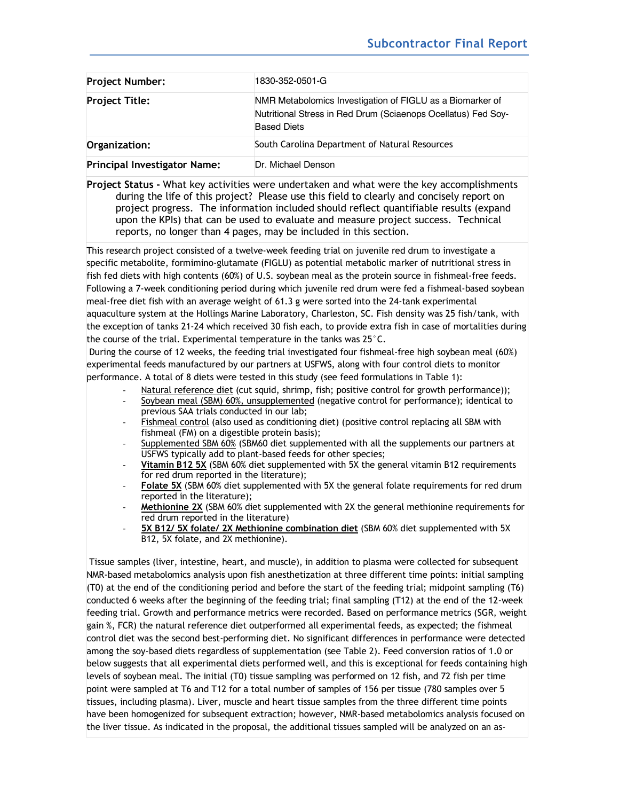| <b>Project Number:</b>              | 1830-352-0501-G                                                                                                                                  |
|-------------------------------------|--------------------------------------------------------------------------------------------------------------------------------------------------|
| <b>Project Title:</b>               | NMR Metabolomics Investigation of FIGLU as a Biomarker of<br>Nutritional Stress in Red Drum (Sciaenops Ocellatus) Fed Soy-<br><b>Based Diets</b> |
| Organization:                       | South Carolina Department of Natural Resources                                                                                                   |
| <b>Principal Investigator Name:</b> | Dr. Michael Denson                                                                                                                               |

**Project Status -** What key activities were undertaken and what were the key accomplishments during the life of this project? Please use this field to clearly and concisely report on project progress. The information included should reflect quantifiable results (expand upon the KPIs) that can be used to evaluate and measure project success. Technical reports, no longer than 4 pages, may be included in this section.

This research project consisted of a twelve-week feeding trial on juvenile red drum to investigate a specific metabolite, formimino-glutamate (FIGLU) as potential metabolic marker of nutritional stress in fish fed diets with high contents (60%) of U.S. soybean meal as the protein source in fishmeal-free feeds. Following a 7-week conditioning period during which juvenile red drum were fed a fishmeal-based soybean meal-free diet fish with an average weight of 61.3 g were sorted into the 24-tank experimental aquaculture system at the Hollings Marine Laboratory, Charleston, SC. Fish density was 25 fish/tank, with the exception of tanks 21-24 which received 30 fish each, to provide extra fish in case of mortalities during the course of the trial. Experimental temperature in the tanks was 25°C.

During the course of 12 weeks, the feeding trial investigated four fishmeal-free high soybean meal (60%) experimental feeds manufactured by our partners at USFWS, along with four control diets to monitor performance. A total of 8 diets were tested in this study (see feed formulations in Table 1):

- Natural reference diet (cut squid, shrimp, fish; positive control for growth performance));
- Soybean meal (SBM) 60%, unsupplemented (negative control for performance); identical to previous SAA trials conducted in our lab;
- Fishmeal control (also used as conditioning diet) (positive control replacing all SBM with fishmeal (FM) on a digestible protein basis);
- Supplemented SBM 60% (SBM60 diet supplemented with all the supplements our partners at USFWS typically add to plant-based feeds for other species;
- **Vitamin B12 5X** (SBM 60% diet supplemented with 5X the general vitamin B12 requirements for red drum reported in the literature);
- Folate 5X (SBM 60% diet supplemented with 5X the general folate requirements for red drum reported in the literature);
- **Methionine 2X** (SBM 60% diet supplemented with 2X the general methionine requirements for red drum reported in the literature)
- 5X B12/ 5X folate/ 2X Methionine combination diet (SBM 60% diet supplemented with 5X B12, 5X folate, and 2X methionine).

Tissue samples (liver, intestine, heart, and muscle), in addition to plasma were collected for subsequent NMR-based metabolomics analysis upon fish anesthetization at three different time points: initial sampling (T0) at the end of the conditioning period and before the start of the feeding trial; midpoint sampling (T6) conducted 6 weeks after the beginning of the feeding trial; final sampling (T12) at the end of the 12-week feeding trial. Growth and performance metrics were recorded. Based on performance metrics (SGR, weight gain %, FCR) the natural reference diet outperformed all experimental feeds, as expected; the fishmeal control diet was the second best-performing diet. No significant differences in performance were detected among the soy-based diets regardless of supplementation (see Table 2). Feed conversion ratios of 1.0 or below suggests that all experimental diets performed well, and this is exceptional for feeds containing high levels of soybean meal. The initial (T0) tissue sampling was performed on 12 fish, and 72 fish per time point were sampled at T6 and T12 for a total number of samples of 156 per tissue (780 samples over 5 tissues, including plasma). Liver, muscle and heart tissue samples from the three different time points have been homogenized for subsequent extraction; however, NMR-based metabolomics analysis focused on the liver tissue. As indicated in the proposal, the additional tissues sampled will be analyzed on an as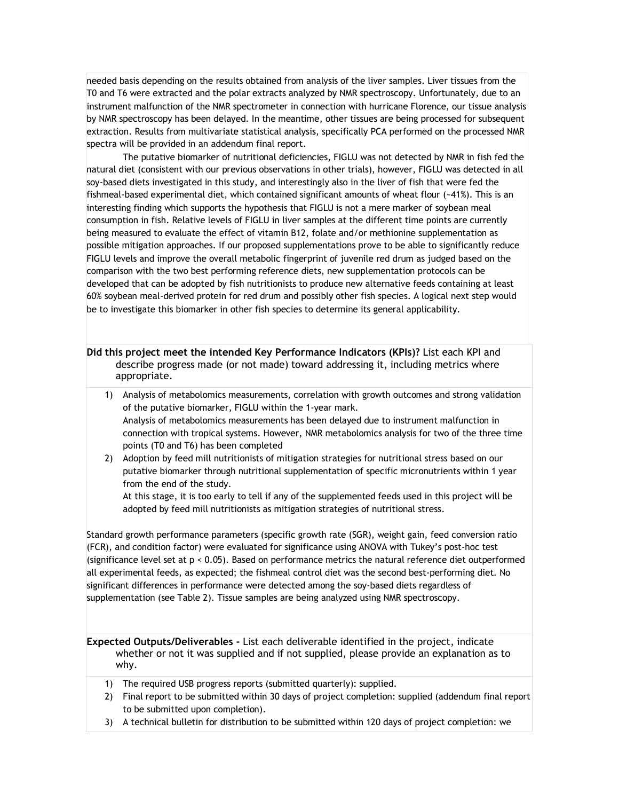needed basis depending on the results obtained from analysis of the liver samples. Liver tissues from the T0 and T6 were extracted and the polar extracts analyzed by NMR spectroscopy. Unfortunately, due to an instrument malfunction of the NMR spectrometer in connection with hurricane Florence, our tissue analysis by NMR spectroscopy has been delayed. In the meantime, other tissues are being processed for subsequent extraction. Results from multivariate statistical analysis, specifically PCA performed on the processed NMR spectra will be provided in an addendum final report.

The putative biomarker of nutritional deficiencies, FIGLU was not detected by NMR in fish fed the natural diet (consistent with our previous observations in other trials), however, FIGLU was detected in all soy-based diets investigated in this study, and interestingly also in the liver of fish that were fed the fishmeal-based experimental diet, which contained significant amounts of wheat flour (~41%). This is an interesting finding which supports the hypothesis that FIGLU is not a mere marker of soybean meal consumption in fish. Relative levels of FIGLU in liver samples at the different time points are currently being measured to evaluate the effect of vitamin B12, folate and/or methionine supplementation as possible mitigation approaches. If our proposed supplementations prove to be able to significantly reduce FIGLU levels and improve the overall metabolic fingerprint of juvenile red drum as judged based on the comparison with the two best performing reference diets, new supplementation protocols can be developed that can be adopted by fish nutritionists to produce new alternative feeds containing at least 60% soybean meal-derived protein for red drum and possibly other fish species. A logical next step would be to investigate this biomarker in other fish species to determine its general applicability.

**Did this project meet the intended Key Performance Indicators (KPIs)?** List each KPI and describe progress made (or not made) toward addressing it, including metrics where appropriate.

- 1) Analysis of metabolomics measurements, correlation with growth outcomes and strong validation of the putative biomarker, FIGLU within the 1-year mark. Analysis of metabolomics measurements has been delayed due to instrument malfunction in connection with tropical systems. However, NMR metabolomics analysis for two of the three time points (T0 and T6) has been completed
- 2) Adoption by feed mill nutritionists of mitigation strategies for nutritional stress based on our putative biomarker through nutritional supplementation of specific micronutrients within 1 year from the end of the study.

At this stage, it is too early to tell if any of the supplemented feeds used in this project will be adopted by feed mill nutritionists as mitigation strategies of nutritional stress.

Standard growth performance parameters (specific growth rate (SGR), weight gain, feed conversion ratio (FCR), and condition factor) were evaluated for significance using ANOVA with Tukey's post-hoc test (significance level set at p < 0.05). Based on performance metrics the natural reference diet outperformed all experimental feeds, as expected; the fishmeal control diet was the second best-performing diet. No significant differences in performance were detected among the soy-based diets regardless of supplementation (see Table 2). Tissue samples are being analyzed using NMR spectroscopy.

**Expected Outputs/Deliverables -** List each deliverable identified in the project, indicate whether or not it was supplied and if not supplied, please provide an explanation as to why.

- 1) The required USB progress reports (submitted quarterly): supplied.
- 2) Final report to be submitted within 30 days of project completion: supplied (addendum final report to be submitted upon completion).
- 3) A technical bulletin for distribution to be submitted within 120 days of project completion: we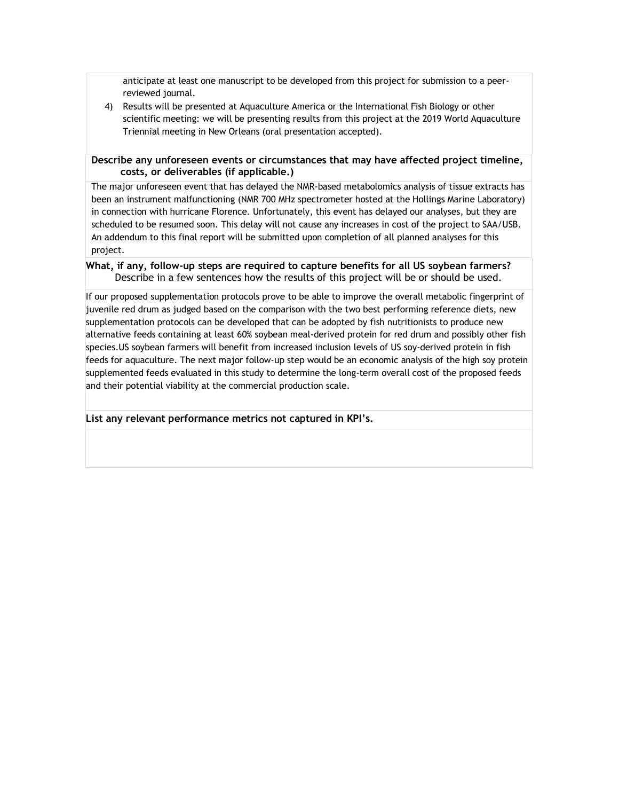anticipate at least one manuscript to be developed from this project for submission to a peerreviewed journal.

4) Results will be presented at Aquaculture America or the International Fish Biology or other scientific meeting: we will be presenting results from this project at the 2019 World Aquaculture Triennial meeting in New Orleans (oral presentation accepted).

## **Describe any unforeseen events or circumstances that may have affected project timeline, costs, or deliverables (if applicable.)**

The major unforeseen event that has delayed the NMR-based metabolomics analysis of tissue extracts has been an instrument malfunctioning (NMR 700 MHz spectrometer hosted at the Hollings Marine Laboratory) in connection with hurricane Florence. Unfortunately, this event has delayed our analyses, but they are scheduled to be resumed soon. This delay will not cause any increases in cost of the project to SAA/USB. An addendum to this final report will be submitted upon completion of all planned analyses for this project.

## **What, if any, follow-up steps are required to capture benefits for all US soybean farmers?** Describe in a few sentences how the results of this project will be or should be used.

If our proposed supplementation protocols prove to be able to improve the overall metabolic fingerprint of juvenile red drum as judged based on the comparison with the two best performing reference diets, new supplementation protocols can be developed that can be adopted by fish nutritionists to produce new alternative feeds containing at least 60% soybean meal-derived protein for red drum and possibly other fish species.US soybean farmers will benefit from increased inclusion levels of US soy-derived protein in fish feeds for aquaculture. The next major follow-up step would be an economic analysis of the high soy protein supplemented feeds evaluated in this study to determine the long-term overall cost of the proposed feeds and their potential viability at the commercial production scale.

## **List any relevant performance metrics not captured in KPI's.**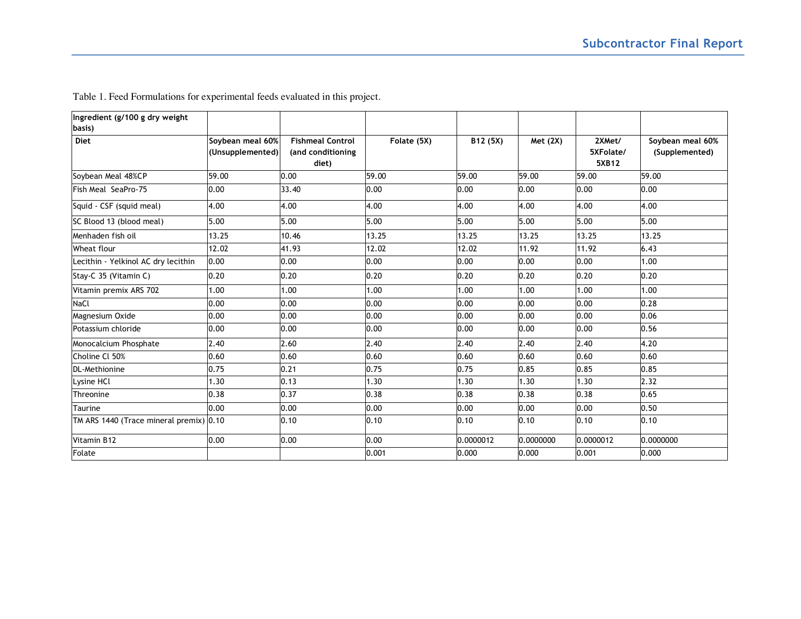| Ingredient (g/100 g dry weight<br>basis) |                                      |                                                       |             |           |           |                              |                                    |
|------------------------------------------|--------------------------------------|-------------------------------------------------------|-------------|-----------|-----------|------------------------------|------------------------------------|
| <b>Diet</b>                              | Soybean meal 60%<br>(Unsupplemented) | <b>Fishmeal Control</b><br>(and conditioning<br>diet) | Folate (5X) | B12 (5X)  | Met (2X)  | 2XMet/<br>5XFolate/<br>5XB12 | Soybean meal 60%<br>(Supplemented) |
| Soybean Meal 48%CP                       | 59.00                                | 0.00                                                  | 59.00       | 59.00     | 59.00     | 59.00                        | 59.00                              |
| Fish Meal SeaPro-75                      | 0.00                                 | 33.40                                                 | 0.00        | 0.00      | 0.00      | 0.00                         | 0.00                               |
| Squid - CSF (squid meal)                 | 4.00                                 | 4.00                                                  | 4.00        | 4.00      | 4.00      | 4.00                         | 4.00                               |
| SC Blood 13 (blood meal)                 | 5.00                                 | 5.00                                                  | 5.00        | 5.00      | 5.00      | 5.00                         | 5.00                               |
| Menhaden fish oil                        | 13.25                                | 10.46                                                 | 13.25       | 13.25     | 13.25     | 13.25                        | 13.25                              |
| Wheat flour                              | 12.02                                | 41.93                                                 | 12.02       | 12.02     | 11.92     | 11.92                        | 6.43                               |
| Lecithin - Yelkinol AC dry lecithin      | 0.00                                 | 0.00                                                  | 0.00        | 0.00      | 0.00      | 0.00                         | 1.00                               |
| Stay-C 35 (Vitamin C)                    | 0.20                                 | 0.20                                                  | 0.20        | 0.20      | 0.20      | 0.20                         | 0.20                               |
| Vitamin premix ARS 702                   | 1.00                                 | 1.00                                                  | 1.00        | 00.1      | 1.00      | 1.00                         | 1.00                               |
| NaCl                                     | 0.00                                 | 0.00                                                  | 0.00        | 0.00      | 0.00      | 0.00                         | 0.28                               |
| Magnesium Oxide                          | 0.00                                 | 0.00                                                  | 0.00        | 0.00      | 0.00      | 0.00                         | 0.06                               |
| Potassium chloride                       | 0.00                                 | 0.00                                                  | 0.00        | 0.00      | 0.00      | 0.00                         | 0.56                               |
| Monocalcium Phosphate                    | 2.40                                 | 2.60                                                  | 2.40        | 2.40      | 2.40      | 2.40                         | 4.20                               |
| Choline Cl 50%                           | 0.60                                 | 0.60                                                  | 0.60        | 0.60      | 0.60      | 0.60                         | 0.60                               |
| <b>DL-Methionine</b>                     | 0.75                                 | 0.21                                                  | 0.75        | 0.75      | 0.85      | 0.85                         | 0.85                               |
| Lysine HCl                               | 1.30                                 | 0.13                                                  | 1.30        | 1.30      | 1.30      | 1.30                         | 2.32                               |
| Threonine                                | 0.38                                 | 0.37                                                  | 0.38        | 0.38      | 0.38      | 0.38                         | 0.65                               |
| Taurine                                  | 0.00                                 | 0.00                                                  | 0.00        | 0.00      | 0.00      | 0.00                         | 0.50                               |
| TM ARS 1440 (Trace mineral premix) 0.10  |                                      | 0.10                                                  | 0.10        | 0.10      | 0.10      | 0.10                         | 0.10                               |
| Vitamin B12                              | 0.00                                 | 0.00                                                  | 0.00        | 0.0000012 | 0.0000000 | 0.0000012                    | 0.0000000                          |
| Folate                                   |                                      |                                                       | 0.001       | 0.000     | 0.000     | 0.001                        | 0.000                              |

Table 1. Feed Formulations for experimental feeds evaluated in this project.